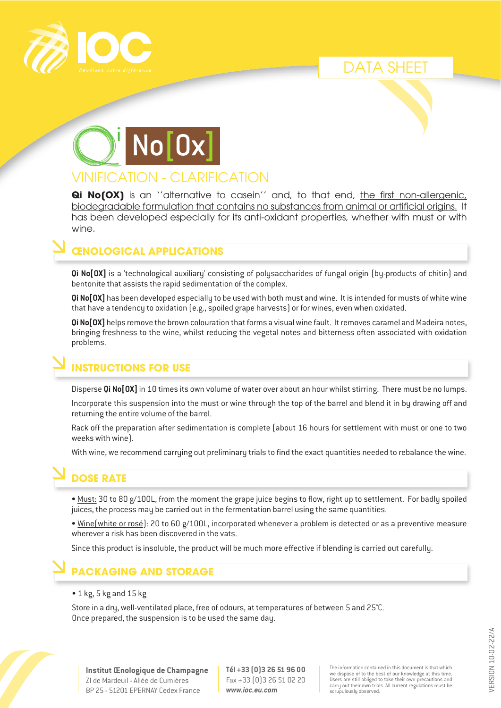





# VINIFICATION - CLARIFICATION

**Qi No(OX)** is an "alternative to casein" and, to that end, the first non-allergenic, biodegradable formulation that contains no substances from animal or artificial origins. It has been developed especially for its anti-oxidant properties, whether with must or with wine.

#### **ŒNOLOGICAL APPLICATIONS**

**Qi No[OX]** is a 'technological auxiliary' consisting of polysaccharides of fungal origin (by-products of chitin) and bentonite that assists the rapid sedimentation of the complex.

**Qi No[OX]** has been developed especially to be used with both must and wine. It is intended for musts of white wine that have a tendency to oxidation (e.g., spoiled grape harvests) or for wines, even when oxidated.

**Qi No[OX]** helps remove the brown colouration that forms a visual wine fault. It removes caramel and Madeira notes, bringing freshness to the wine, whilst reducing the vegetal notes and bitterness often associated with oxidation problems.

#### **INSTRUCTIONS FOR USE**

Disperse **Qi No[OX]** in 10 times its own volume of water over about an hour whilst stirring. There must be no lumps.

Incorporate this suspension into the must or wine through the top of the barrel and blend it in by drawing off and returning the entire volume of the barrel.

Rack off the preparation after sedimentation is complete (about 16 hours for settlement with must or one to two weeks with wine).

With wine, we recommend carrying out preliminary trials to find the exact quantities needed to rebalance the wine.

## **DOSE RATE**

• Must: 30 to 80 g/100L, from the moment the grape juice begins to flow, right up to settlement. For badly spoiled juices, the process may be carried out in the fermentation barrel using the same quantities.

• Wine(white or rosé): 20 to 60 g/100L, incorporated whenever a problem is detected or as a preventive measure wherever a risk has been discovered in the vats.

Since this product is insoluble, the product will be much more effective if blending is carried out carefully.

## **PACKAGING AND STORAGE**

#### • 1 kg, 5 kg and 15 kg

Store in a dry, well-ventilated place, free of odours, at temperatures of between 5 and 25°C. Once prepared, the suspension is to be used the same day.



**Institut Œnologique de Champagne** ZI de Mardeuil - Allée de Cumières BP 25 - 51201 EPERNAY Cedex France

**Tél +33 (0)3 26 51 96 00** Fax +33 (0)3 26 51 02 20 *www.ioc.eu.com*